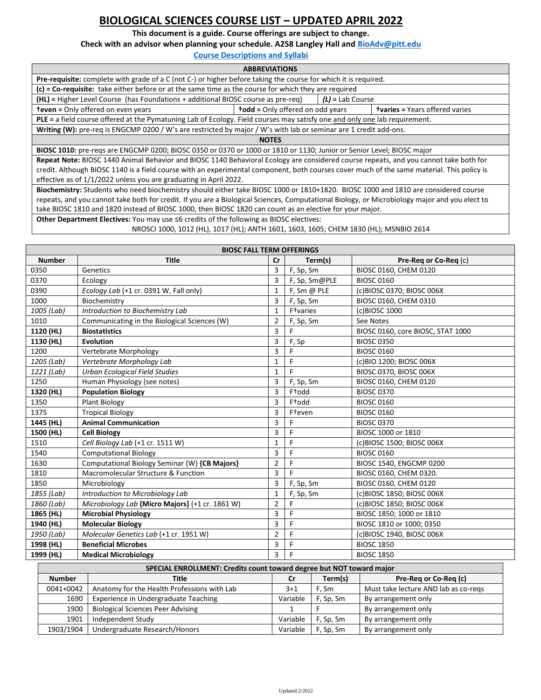## **BIOLOGICAL SCIENCES COURSE LIST – UPDATED APRIL 2022**

**This document is a guide. Course offerings are subject to change.** 

**Check with an advisor when planning your schedule. A258 Langley Hall and [BioAdv@pitt.edu](mailto:BioAdv@pitt.edu)**

**[Course Descriptions and Syllabi](https://www.biology.pitt.edu/undergraduate/courses/biosc-courses)**

| <b>ABBREVIATIONS</b>                                                                                                                          |                                                                                  |  |  |  |  |  |  |
|-----------------------------------------------------------------------------------------------------------------------------------------------|----------------------------------------------------------------------------------|--|--|--|--|--|--|
| <b>Pre-requisite:</b> complete with grade of a C (not C-) or higher before taking the course for which it is required.                        |                                                                                  |  |  |  |  |  |  |
| (c) = Co-requisite: take either before or at the same time as the course for which they are required                                          |                                                                                  |  |  |  |  |  |  |
| (HL) = Higher Level Course (has Foundations + additional BIOSC course as pre-req)<br>$(L)$ = Lab Course                                       |                                                                                  |  |  |  |  |  |  |
| <b>teven</b> = Only offered on even years                                                                                                     | <b>todd</b> = Only offered on odd years<br><b>tvaries</b> = Years offered varies |  |  |  |  |  |  |
| PLE = a field course offered at the Pymatuning Lab of Ecology. Field courses may satisfy one and only one lab requirement.                    |                                                                                  |  |  |  |  |  |  |
| Writing (W): pre-req is ENGCMP 0200 / W's are restricted by major / W's with lab or seminar are 1 credit add-ons.                             |                                                                                  |  |  |  |  |  |  |
| <b>NOTES</b>                                                                                                                                  |                                                                                  |  |  |  |  |  |  |
| BIOSC 1010: pre-regs are ENGCMP 0200; BIOSC 0350 or 0370 or 1000 or 1810 or 1130; Junior or Senior Level; BIOSC major                         |                                                                                  |  |  |  |  |  |  |
| Repeat Note: BIOSC 1440 Animal Behavior and BIOSC 1140 Behavioral Ecology are considered course repeats, and you cannot take both for         |                                                                                  |  |  |  |  |  |  |
| credit. Although BIOSC 1140 is a field course with an experimental component, both courses cover much of the same material. This policy is    |                                                                                  |  |  |  |  |  |  |
| effective as of 1/1/2022 unless you are graduating in April 2022.                                                                             |                                                                                  |  |  |  |  |  |  |
| Biochemistry: Students who need biochemistry should either take BIOSC 1000 or 1810+1820. BIOSC 1000 and 1810 are considered course            |                                                                                  |  |  |  |  |  |  |
| repeats, and you cannot take both for credit. If you are a Biological Sciences, Computational Biology, or Microbiology major and you elect to |                                                                                  |  |  |  |  |  |  |
| take BIOSC 1810 and 1820 instead of BIOSC 1000, then BIOSC 1820 can count as an elective for your major.                                      |                                                                                  |  |  |  |  |  |  |

**Other Department Electives:** You may use ≤6 credits of the following as BIOSC electives:

NROSCI 1000, 1012 (HL), 1017 (HL); ANTH 1601, 1603, 1605; CHEM 1830 (HL); MSNBIO 2614

| <b>BIOSC FALL TERM OFFERINGS</b>                                     |               |                                                 |                |                       |                   |                                      |  |
|----------------------------------------------------------------------|---------------|-------------------------------------------------|----------------|-----------------------|-------------------|--------------------------------------|--|
|                                                                      | <b>Number</b> | <b>Title</b>                                    | Cr             |                       | Term(s)           | Pre-Req or Co-Req (c)                |  |
| 0350                                                                 |               | Genetics                                        | 3              | F, Sp, Sm             |                   | BIOSC 0160, CHEM 0120                |  |
| 0370                                                                 |               | Ecology                                         | 3              | F, Sp, Sm@PLE         |                   | <b>BIOSC 0160</b>                    |  |
| 0390                                                                 |               | Ecology Lab (+1 cr. 0391 W, Fall only)          | 1              | F, Sm @ PLE           |                   | (c)BIOSC 0370; BIOSC 006X            |  |
| 1000                                                                 |               | Biochemistry                                    | 3              | F, Sp, Sm             |                   | BIOSC 0160, CHEM 0310                |  |
|                                                                      | 1005 (Lab)    | Introduction to Biochemistry Lab                | $\mathbf{1}$   | F <sup>t</sup> varies |                   | (c)BIOSC 1000                        |  |
| 1010                                                                 |               | Communicating in the Biological Sciences (W)    | $\overline{2}$ | F, Sp, Sm             |                   | See Notes                            |  |
|                                                                      | 1120 (HL)     | <b>Biostatistics</b>                            | 3              | F                     |                   | BIOSC 0160, core BIOSC, STAT 1000    |  |
|                                                                      | 1130 (HL)     | <b>Evolution</b>                                | 3              | F, Sp                 |                   | <b>BIOSC 0350</b>                    |  |
| 1200                                                                 |               | Vertebrate Morphology                           | 3              | F                     |                   | <b>BIOSC 0160</b>                    |  |
|                                                                      | 1205 (Lab)    | Vertebrate Morphology Lab                       | $\mathbf{1}$   | F                     |                   | (c)BIO 1200; BIOSC 006X              |  |
|                                                                      | 1221 (Lab)    | Urban Ecological Field Studies                  | 1              | F                     |                   | BIOSC 0370, BIOSC 006X               |  |
| 1250                                                                 |               | Human Physiology (see notes)                    | 3              | F, Sp, Sm             |                   | BIOSC 0160, CHEM 0120                |  |
|                                                                      | 1320 (HL)     | <b>Population Biology</b>                       | 3              | F <sup>t</sup> odd    |                   | <b>BIOSC 0370</b>                    |  |
| 1350                                                                 |               | <b>Plant Biology</b>                            | 3              | F <sup>t</sup> odd    |                   | <b>BIOSC 0160</b>                    |  |
| 1375                                                                 |               | <b>Tropical Biology</b>                         | 3              | F <sup>t</sup> even   |                   | <b>BIOSC 0160</b>                    |  |
|                                                                      | 1445 (HL)     | <b>Animal Communication</b>                     | 3              | F                     |                   | <b>BIOSC 0370</b>                    |  |
|                                                                      | 1500 (HL)     | <b>Cell Biology</b>                             | 3              | F                     |                   | BIOSC 1000 or 1810                   |  |
| 1510                                                                 |               | Cell Biology Lab (+1 cr. 1511 W)                | $\mathbf 1$    | F                     |                   | (c)BIOSC 1500; BIOSC 006X            |  |
| 1540                                                                 |               | <b>Computational Biology</b>                    | 3              | F                     |                   | <b>BIOSC 0160</b>                    |  |
| 1630                                                                 |               | Computational Biology Seminar (W) {CB Majors}   | $\overline{2}$ | F                     |                   | BIOSC 1540, ENGCMP 0200              |  |
| 1810                                                                 |               | Macromolecular Structure & Function             | 3              | F                     |                   | BIOSC 0160, CHEM 0320.               |  |
| 1850                                                                 |               | Microbiology                                    | 3              | F, Sp, Sm             |                   | BIOSC 0160, CHEM 0120                |  |
|                                                                      | 1855 (Lab)    | Introduction to Microbiology Lab                | 1              | F, Sp, Sm             |                   | (c)BIOSC 1850; BIOSC 006X            |  |
|                                                                      | 1860 (Lab)    | Microbiology Lab {Micro Majors} (+1 cr. 1861 W) | $\overline{2}$ | F                     |                   | (c)BIOSC 1850; BIOSC 006X            |  |
|                                                                      | 1865 (HL)     | <b>Microbial Physiology</b>                     | 3              | F                     |                   | BIOSC 1850; 1000 or 1810             |  |
|                                                                      | 1940 (HL)     | <b>Molecular Biology</b>                        | 3              | F                     |                   | BIOSC 1810 or 1000; 0350             |  |
|                                                                      | 1950 (Lab)    | Molecular Genetics Lab (+1 cr. 1951 W)          | $\overline{2}$ | F                     |                   | (c)BIOSC 1940, BIOSC 006X            |  |
|                                                                      | 1998 (HL)     | <b>Beneficial Microbes</b>                      | 3              | F                     |                   | <b>BIOSC 1850</b>                    |  |
| 1999 (HL)<br><b>Medical Microbiology</b>                             |               | 3                                               | F              |                       | <b>BIOSC 1850</b> |                                      |  |
| SPECIAL ENROLLMENT: Credits count toward degree but NOT toward major |               |                                                 |                |                       |                   |                                      |  |
|                                                                      | <b>Number</b> | <b>Title</b>                                    |                | cr                    | Term(s)           | Pre-Reg or Co-Reg (c)                |  |
|                                                                      | 0041+0042     | Anatomy for the Health Professions with Lab     |                | $3 + 1$               | F, Sm             | Must take lecture AND lab as co-regs |  |
|                                                                      | 1690          | Experience in Undergraduate Teaching            |                | Variable              | F, Sp, Sm         | By arrangement only                  |  |

1900 | Biological Sciences Peer Advising | 1 | F | By arrangement only 1901 | Independent Study **Variable | F, Sp, Sm | By arrangement only** 1903/1904 Undergraduate Research/Honors Variable F, Sp, Sm By arrangement only